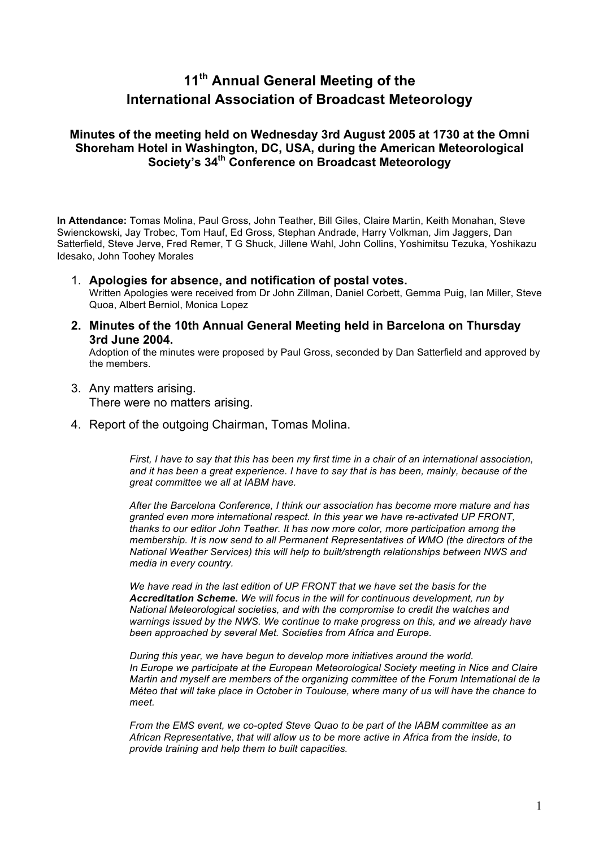# **11th Annual General Meeting of the International Association of Broadcast Meteorology**

# **Minutes of the meeting held on Wednesday 3rd August 2005 at 1730 at the Omni Shoreham Hotel in Washington, DC, USA, during the American Meteorological Society's 34th Conference on Broadcast Meteorology**

**In Attendance:** Tomas Molina, Paul Gross, John Teather, Bill Giles, Claire Martin, Keith Monahan, Steve Swienckowski, Jay Trobec, Tom Hauf, Ed Gross, Stephan Andrade, Harry Volkman, Jim Jaggers, Dan Satterfield, Steve Jerve, Fred Remer, T G Shuck, Jillene Wahl, John Collins, Yoshimitsu Tezuka, Yoshikazu Idesako, John Toohey Morales

- 1. **Apologies for absence, and notification of postal votes.** Written Apologies were received from Dr John Zillman, Daniel Corbett, Gemma Puig, Ian Miller, Steve Quoa, Albert Berniol, Monica Lopez
- **2. Minutes of the 10th Annual General Meeting held in Barcelona on Thursday 3rd June 2004.**

Adoption of the minutes were proposed by Paul Gross, seconded by Dan Satterfield and approved by the members.

- 3. Any matters arising. There were no matters arising.
- 4. Report of the outgoing Chairman, Tomas Molina.

*First, I have to say that this has been my first time in a chair of an international association, and it has been a great experience. I have to say that is has been, mainly, because of the great committee we all at IABM have.*

*After the Barcelona Conference, I think our association has become more mature and has granted even more international respect. In this year we have re-activated UP FRONT, thanks to our editor John Teather. It has now more color, more participation among the membership. It is now send to all Permanent Representatives of WMO (the directors of the National Weather Services) this will help to built/strength relationships between NWS and media in every country.*

We have read in the last edition of UP FRONT that we have set the basis for the *Accreditation Scheme. We will focus in the will for continuous development, run by National Meteorological societies, and with the compromise to credit the watches and*  warnings issued by the NWS. We continue to make progress on this, and we already have *been approached by several Met. Societies from Africa and Europe.*

*During this year, we have begun to develop more initiatives around the world. In Europe we participate at the European Meteorological Society meeting in Nice and Claire Martin and myself are members of the organizing committee of the Forum International de la Méteo that will take place in October in Toulouse, where many of us will have the chance to meet.*

*From the EMS event, we co-opted Steve Quao to be part of the IABM committee as an African Representative, that will allow us to be more active in Africa from the inside, to provide training and help them to built capacities.*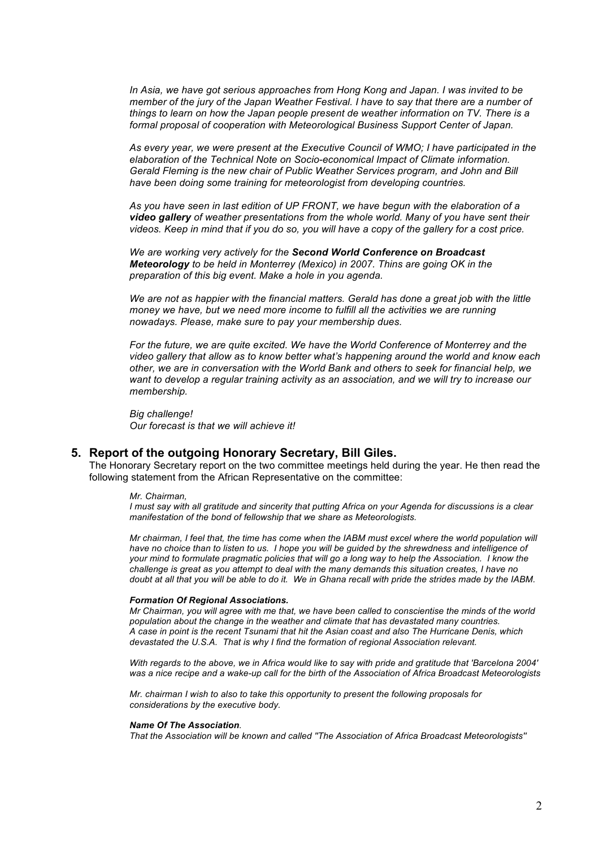*In Asia, we have got serious approaches from Hong Kong and Japan. I was invited to be member of the jury of the Japan Weather Festival. I have to say that there are a number of things to learn on how the Japan people present de weather information on TV. There is a formal proposal of cooperation with Meteorological Business Support Center of Japan.* 

*As every year, we were present at the Executive Council of WMO; I have participated in the elaboration of the Technical Note on Socio-economical Impact of Climate information. Gerald Fleming is the new chair of Public Weather Services program, and John and Bill have been doing some training for meteorologist from developing countries.*

*As you have seen in last edition of UP FRONT, we have begun with the elaboration of a video gallery of weather presentations from the whole world. Many of you have sent their videos. Keep in mind that if you do so, you will have a copy of the gallery for a cost price.*

*We are working very actively for the Second World Conference on Broadcast Meteorology to be held in Monterrey (Mexico) in 2007. Thins are going OK in the preparation of this big event. Make a hole in you agenda.*

*We are not as happier with the financial matters. Gerald has done a great job with the little money we have, but we need more income to fulfill all the activities we are running nowadays. Please, make sure to pay your membership dues.*

*For the future, we are quite excited. We have the World Conference of Monterrey and the video gallery that allow as to know better what's happening around the world and know each other, we are in conversation with the World Bank and others to seek for financial help, we want to develop a regular training activity as an association, and we will try to increase our membership.*

*Big challenge! Our forecast is that we will achieve it!*

### **5. Report of the outgoing Honorary Secretary, Bill Giles.**

The Honorary Secretary report on the two committee meetings held during the year. He then read the following statement from the African Representative on the committee:

#### *Mr. Chairman,*

*I must say with all gratitude and sincerity that putting Africa on your Agenda for discussions is a clear manifestation of the bond of fellowship that we share as Meteorologists.*

*Mr chairman, I feel that, the time has come when the IABM must excel where the world population will have no choice than to listen to us. I hope you will be guided by the shrewdness and intelligence of your mind to formulate pragmatic policies that will go a long way to help the Association. I know the challenge is great as you attempt to deal with the many demands this situation creates, I have no doubt at all that you will be able to do it. We in Ghana recall with pride the strides made by the IABM.*

#### *Formation Of Regional Associations.*

*Mr Chairman, you will agree with me that, we have been called to conscientise the minds of the world population about the change in the weather and climate that has devastated many countries. A case in point is the recent Tsunami that hit the Asian coast and also The Hurricane Denis, which devastated the U.S.A. That is why I find the formation of regional Association relevant.*

*With regards to the above, we in Africa would like to say with pride and gratitude that 'Barcelona 2004' was a nice recipe and a wake-up call for the birth of the Association of Africa Broadcast Meteorologists* 

*Mr. chairman I wish to also to take this opportunity to present the following proposals for considerations by the executive body.*

#### *Name Of The Association.*

*That the Association will be known and called ''The Association of Africa Broadcast Meteorologists''*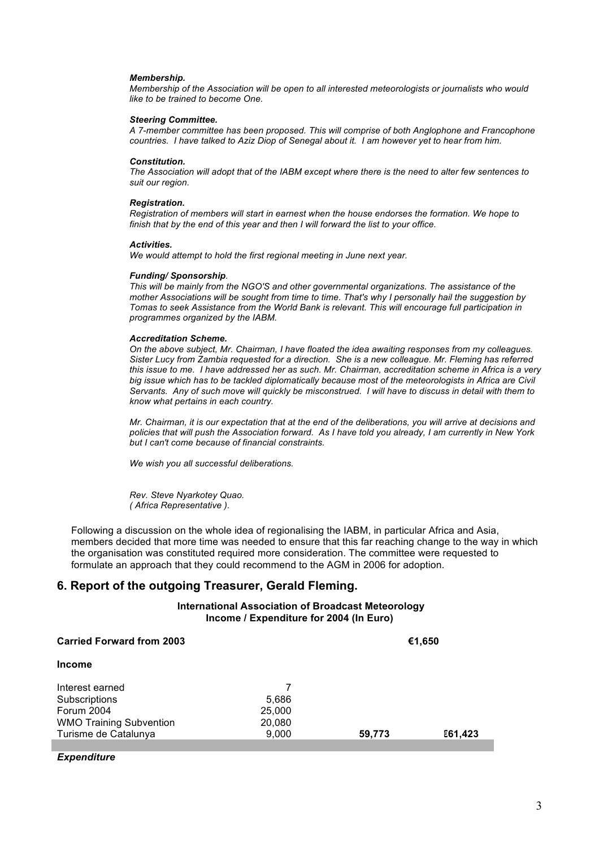#### *Membership.*

*Membership of the Association will be open to all interested meteorologists or journalists who would like to be trained to become One.*

#### *Steering Committee.*

*A 7-member committee has been proposed. This will comprise of both Anglophone and Francophone countries. I have talked to Aziz Diop of Senegal about it. I am however yet to hear from him.*

#### *Constitution.*

*The Association will adopt that of the IABM except where there is the need to alter few sentences to suit our region.*

#### *Registration.*

*Registration of members will start in earnest when the house endorses the formation. We hope to finish that by the end of this year and then I will forward the list to your office.*

#### *Activities.*

*We would attempt to hold the first regional meeting in June next year.*

#### *Funding/ Sponsorship.*

*This will be mainly from the NGO'S and other governmental organizations. The assistance of the mother Associations will be sought from time to time. That's why I personally hail the suggestion by Tomas to seek Assistance from the World Bank is relevant. This will encourage full participation in programmes organized by the IABM.*

#### *Accreditation Scheme.*

*On the above subject, Mr. Chairman, I have floated the idea awaiting responses from my colleagues. Sister Lucy from Zambia requested for a direction. She is a new colleague. Mr. Fleming has referred this issue to me. I have addressed her as such. Mr. Chairman, accreditation scheme in Africa is a very big issue which has to be tackled diplomatically because most of the meteorologists in Africa are Civil Servants. Any of such move will quickly be misconstrued. I will have to discuss in detail with them to know what pertains in each country.*

*Mr. Chairman, it is our expectation that at the end of the deliberations, you will arrive at decisions and policies that will push the Association forward. As I have told you already, I am currently in New York but I can't come because of financial constraints.*

*We wish you all successful deliberations.*

*Rev. Steve Nyarkotey Quao. ( Africa Representative ).*

Following a discussion on the whole idea of regionalising the IABM, in particular Africa and Asia, members decided that more time was needed to ensure that this far reaching change to the way in which the organisation was constituted required more consideration. The committee were requested to formulate an approach that they could recommend to the AGM in 2006 for adoption.

### **6. Report of the outgoing Treasurer, Gerald Fleming.**

**International Association of Broadcast Meteorology Income / Expenditure for 2004 (In Euro)**

| <b>Carried Forward from 2003</b> |        | €1,650 |                |  |
|----------------------------------|--------|--------|----------------|--|
| <b>Income</b>                    |        |        |                |  |
| Interest earned                  |        |        |                |  |
| Subscriptions                    | 5,686  |        |                |  |
| Forum 2004                       | 25,000 |        |                |  |
| <b>WMO Training Subvention</b>   | 20,080 |        |                |  |
| Turisme de Catalunya             | 9,000  | 59,773 | <b>€61,423</b> |  |
|                                  |        |        |                |  |

*Expenditure*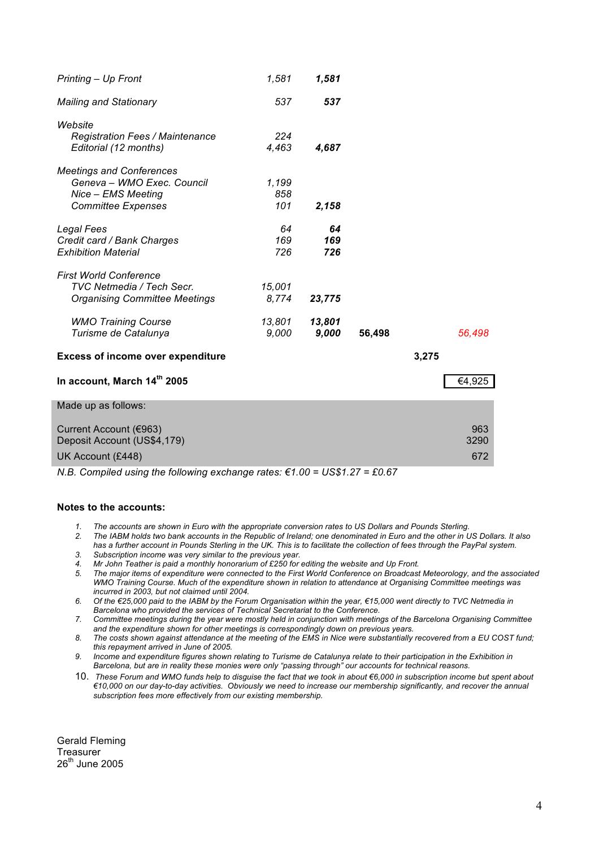| Printing - Up Front                                                                                              | 1,581               | 1,581            |        |       |                    |
|------------------------------------------------------------------------------------------------------------------|---------------------|------------------|--------|-------|--------------------|
| <b>Mailing and Stationary</b>                                                                                    | 537                 | 537              |        |       |                    |
| Website<br><b>Registration Fees / Maintenance</b><br>Editorial (12 months)                                       | 224<br>4,463        | 4,687            |        |       |                    |
| <b>Meetings and Conferences</b><br>Geneva - WMO Exec. Council<br>Nice - EMS Meeting<br><b>Committee Expenses</b> | 1,199<br>858<br>101 | 2,158            |        |       |                    |
| <b>Legal Fees</b><br>Credit card / Bank Charges<br><b>Exhibition Material</b>                                    | 64<br>169<br>726    | 64<br>169<br>726 |        |       |                    |
| <b>First World Conference</b><br>TVC Netmedia / Tech Secr.<br><b>Organising Committee Meetings</b>               | 15,001<br>8,774     | 23,775           |        |       |                    |
| <b>WMO Training Course</b><br>Turisme de Catalunya                                                               | 13,801<br>9,000     | 13,801<br>9,000  | 56,498 |       | 56,498             |
| <b>Excess of income over expenditure</b>                                                                         |                     |                  |        | 3,275 |                    |
| In account, March 14th 2005                                                                                      |                     |                  |        |       | €4,925             |
| Made up as follows:                                                                                              |                     |                  |        |       |                    |
| Current Account (€963)<br>Deposit Account (US\$4,179)<br>UK Account (£448)                                       |                     |                  |        |       | 963<br>3290<br>672 |

*N.B. Compiled using the following exchange rates: €1.00 = US\$1.27 = £0.67*

#### **Notes to the accounts:**

- *1. The accounts are shown in Euro with the appropriate conversion rates to US Dollars and Pounds Sterling.*
- *2. The IABM holds two bank accounts in the Republic of Ireland; one denominated in Euro and the other in US Dollars. It also has a further account in Pounds Sterling in the UK. This is to facilitate the collection of fees through the PayPal system.*
- *3. Subscription income was very similar to the previous year.*
- *4. Mr John Teather is paid a monthly honorarium of £250 for editing the website and Up Front.*
- *5. The major items of expenditure were connected to the First World Conference on Broadcast Meteorology, and the associated WMO Training Course. Much of the expenditure shown in relation to attendance at Organising Committee meetings was incurred in 2003, but not claimed until 2004.*
- *6. Of the €25,000 paid to the IABM by the Forum Organisation within the year, €15,000 went directly to TVC Netmedia in Barcelona who provided the services of Technical Secretariat to the Conference.*
- *7. Committee meetings during the year were mostly held in conjunction with meetings of the Barcelona Organising Committee and the expenditure shown for other meetings is correspondingly down on previous years.*
- *8. The costs shown against attendance at the meeting of the EMS in Nice were substantially recovered from a EU COST fund; this repayment arrived in June of 2005.*
- *9. Income and expenditure figures shown relating to Turisme de Catalunya relate to their participation in the Exhibition in Barcelona, but are in reality these monies were only "passing through" our accounts for technical reasons.*
- 10. *These Forum and WMO funds help to disguise the fact that we took in about €6,000 in subscription income but spent about €10,000 on our day-to-day activities. Obviously we need to increase our membership significantly, and recover the annual subscription fees more effectively from our existing membership.*

Gerald Fleming **Treasurer** 26<sup>th</sup> June 2005